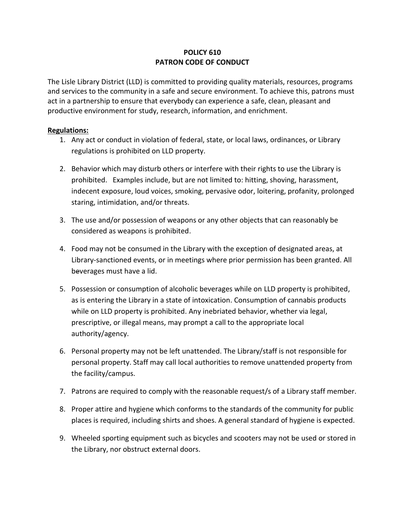## **POLICY 610 PATRON CODE OF CONDUCT**

The Lisle Library District (LLD) is committed to providing quality materials, resources, programs and services to the community in a safe and secure environment. To achieve this, patrons must act in a partnership to ensure that everybody can experience a safe, clean, pleasant and productive environment for study, research, information, and enrichment.

## **Regulations:**

- 1. Any act or conduct in violation of federal, state, or local laws, ordinances, or Library regulations is prohibited on LLD property.
- 2. Behavior which may disturb others or interfere with their rights to use the Library is prohibited. Examples include, but are not limited to: hitting, shoving, harassment, indecent exposure, loud voices, smoking, pervasive odor, loitering, profanity, prolonged staring, intimidation, and/or threats.
- 3. The use and/or possession of weapons or any other objects that can reasonably be considered as weapons is prohibited.
- 4. Food may not be consumed in the Library with the exception of designated areas, at Library-sanctioned events, or in meetings where prior permission has been granted. All beverages must have a lid.
- 5. Possession or consumption of alcoholic beverages while on LLD property is prohibited, as is entering the Library in a state of intoxication. Consumption of cannabis products while on LLD property is prohibited. Any inebriated behavior, whether via legal, prescriptive, or illegal means, may prompt a call to the appropriate local authority/agency.
- 6. Personal property may not be left unattended. The Library/staff is not responsible for personal property. Staff may call local authorities to remove unattended property from the facility/campus.
- 7. Patrons are required to comply with the reasonable request/s of a Library staff member.
- 8. Proper attire and hygiene which conforms to the standards of the community for public places is required, including shirts and shoes. A general standard of hygiene is expected.
- 9. Wheeled sporting equipment such as bicycles and scooters may not be used or stored in the Library, nor obstruct external doors.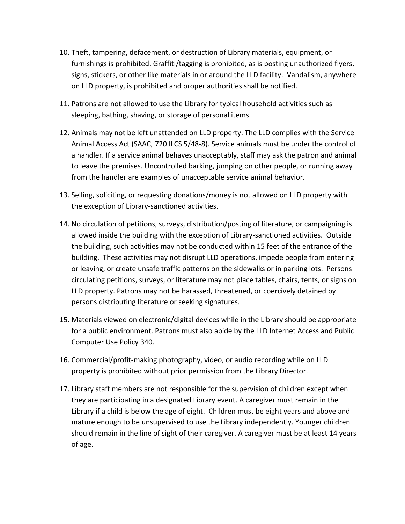- 10. Theft, tampering, defacement, or destruction of Library materials, equipment, or furnishings is prohibited. Graffiti/tagging is prohibited, as is posting unauthorized flyers, signs, stickers, or other like materials in or around the LLD facility.Vandalism, anywhere on LLD property, is prohibited and proper authorities shall be notified.
- 11. Patrons are not allowed to use the Library for typical household activities such as sleeping, bathing, shaving, or storage of personal items.
- 12. Animals may not be left unattended on LLD property. The LLD complies with the Service Animal Access Act (SAAC, 720 ILCS 5/48-8). Service animals must be under the control of a handler. If a service animal behaves unacceptably, staff may ask the patron and animal to leave the premises. Uncontrolled barking, jumping on other people, or running away from the handler are examples of unacceptable service animal behavior.
- 13. Selling, soliciting, or requesting donations/money is not allowed on LLD property with the exception of Library-sanctioned activities.
- 14. No circulation of petitions, surveys, distribution/posting of literature, or campaigning is allowed inside the building with the exception of Library-sanctioned activities. Outside the building, such activities may not be conducted within 15 feet of the entrance of the building. These activities may not disrupt LLD operations, impede people from entering or leaving, or create unsafe traffic patterns on the sidewalks or in parking lots. Persons circulating petitions, surveys, or literature may not place tables, chairs, tents, or signs on LLD property. Patrons may not be harassed, threatened, or coercively detained by persons distributing literature or seeking signatures.
- 15. Materials viewed on electronic/digital devices while in the Library should be appropriate for a public environment. Patrons must also abide by the LLD Internet Access and Public Computer Use Policy 340.
- 16. Commercial/profit-making photography, video, or audio recording while on LLD property is prohibited without prior permission from the Library Director.
- 17. Library staff members are not responsible for the supervision of children except when they are participating in a designated Library event. A caregiver must remain in the Library if a child is below the age of eight. Children must be eight years and above and mature enough to be unsupervised to use the Library independently. Younger children should remain in the line of sight of their caregiver. A caregiver must be at least 14 years of age.